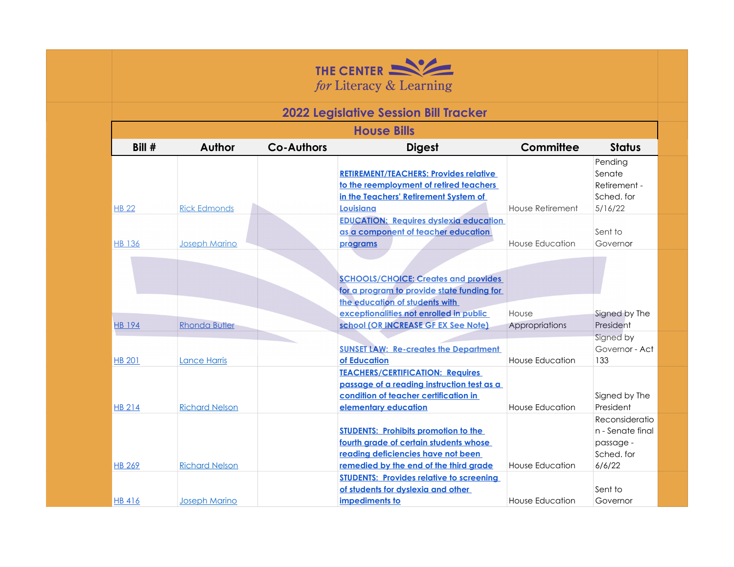

## **2022 Legislative Session Bill Tracker**

| <b>House Bills</b> |                       |                   |                                                                                                                                                                        |                         |                                                                         |  |  |  |
|--------------------|-----------------------|-------------------|------------------------------------------------------------------------------------------------------------------------------------------------------------------------|-------------------------|-------------------------------------------------------------------------|--|--|--|
| Bill #             | <b>Author</b>         | <b>Co-Authors</b> | <b>Digest</b>                                                                                                                                                          | Committee               | <b>Status</b>                                                           |  |  |  |
| <b>HB 22</b>       | <b>Rick Edmonds</b>   |                   | <b>RETIREMENT/TEACHERS: Provides relative</b><br>to the reemployment of retired teachers<br>in the Teachers' Retirement System of<br>Louisiana                         | <b>House Retirement</b> | Pending<br>Senate<br>Retirement -<br>Sched, for<br>5/16/22              |  |  |  |
| <b>HB 136</b>      | <b>Joseph Marino</b>  |                   | <b>EDUCATION: Requires dyslexia education</b><br>as a component of teacher education<br>programs                                                                       | House Education         | Sent to<br>Governor                                                     |  |  |  |
|                    |                       |                   | <b>SCHOOLS/CHOICE: Creates and provides</b><br>for a program to provide state funding for<br>the education of students with<br>exceptionalities not enrolled in public | House                   | Signed by The                                                           |  |  |  |
| <b>HB 194</b>      | <b>Rhonda Butler</b>  |                   | school (OR INCREASE GF EX See Note)                                                                                                                                    | Appropriations          | President                                                               |  |  |  |
| <b>HB 201</b>      | <b>Lance Harris</b>   |                   | <b>SUNSET LAW: Re-creates the Department</b><br>of Education                                                                                                           | House Education         | Signed by<br>Governor - Act<br>133                                      |  |  |  |
| <b>HB 214</b>      | <b>Richard Nelson</b> |                   | <b>TEACHERS/CERTIFICATION: Requires</b><br>passage of a reading instruction test as a<br>condition of teacher certification in<br>elementary education                 | <b>House Education</b>  | Signed by The<br>President                                              |  |  |  |
| <b>HB 269</b>      | <b>Richard Nelson</b> |                   | <b>STUDENTS: Prohibits promotion to the</b><br>fourth grade of certain students whose<br>reading deficiencies have not been<br>remedied by the end of the third grade  | House Education         | Reconsideratio<br>n - Senate final<br>passage -<br>Sched. for<br>6/6/22 |  |  |  |
| <b>HB 416</b>      | <b>Joseph Marino</b>  |                   | <b>STUDENTS: Provides relative to screening</b><br>of students for dyslexia and other<br>impediments to                                                                | House Education         | Sent to<br>Governor                                                     |  |  |  |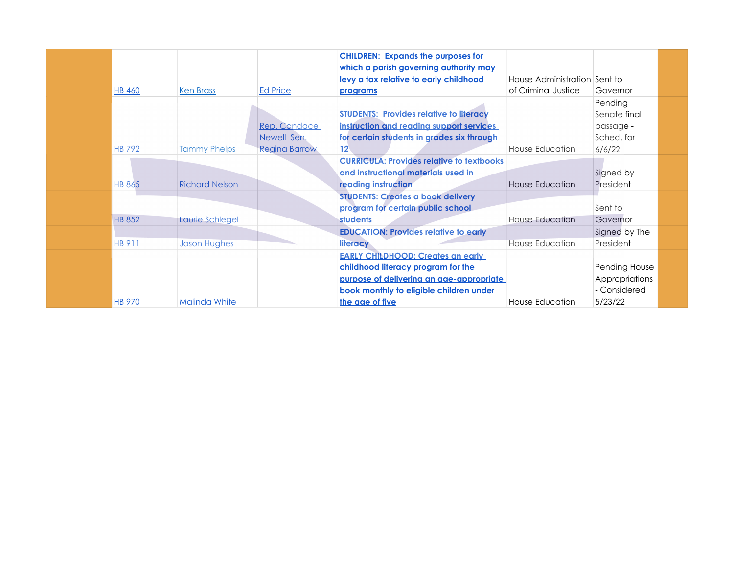|               |                       |                      | <b>CHILDREN: Expands the purposes for</b>        |                              |                |
|---------------|-----------------------|----------------------|--------------------------------------------------|------------------------------|----------------|
|               |                       |                      | which a parish governing authority may           |                              |                |
|               |                       |                      | levy a tax relative to early childhood           | House Administration Sent to |                |
| <b>HB 460</b> | <b>Ken Brass</b>      | <b>Ed Price</b>      | programs                                         | of Criminal Justice          | Governor       |
|               |                       |                      |                                                  |                              | Pending        |
|               |                       |                      | <b>STUDENTS: Provides relative to literacy</b>   |                              | Senate final   |
|               |                       | Rep. Candace         | instruction and reading support services         |                              | passage -      |
|               |                       | Newell Sen.          | for certain students in grades six through       |                              | Sched. for     |
| <b>HB 792</b> | <b>Tammy Phelps</b>   | <b>Regina Barrow</b> | 12                                               | House Education              | 6/6/22         |
|               |                       |                      | <b>CURRICULA: Provides relative to textbooks</b> |                              |                |
|               |                       |                      | and instructional materials used in              |                              | Signed by      |
| <b>HB 865</b> | <b>Richard Nelson</b> |                      | reading instruction                              | House Education              | President      |
|               |                       |                      | <b>STUDENTS: Creates a book delivery</b>         |                              |                |
|               |                       |                      | program for certain public school                |                              | Sent to        |
| <b>HB 852</b> | Laurie Schlegel       |                      | students                                         | House Education              | Governor       |
|               |                       |                      | <b>EDUCATION: Provides relative to early</b>     |                              | Signed by The  |
| HB 911        | <b>Jason Hughes</b>   |                      | literacy                                         | House Education              | President      |
|               |                       |                      | <b>EARLY CHILDHOOD: Creates an early</b>         |                              |                |
|               |                       |                      | childhood literacy program for the               |                              | Pending House  |
|               |                       |                      | purpose of delivering an age-appropriate         |                              | Appropriations |
|               |                       |                      | book monthly to eligible children under          |                              | - Considered   |
| <b>HB 970</b> | <b>Malinda White</b>  |                      | the age of five                                  | House Education              | 5/23/22        |